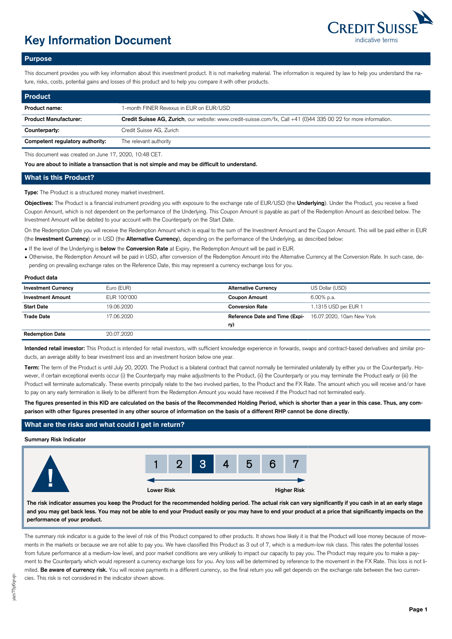

# **Key Information Document indicative terms indicative terms**

## **Purpose**

This document provides you with key information about this investment product. It is not marketing material. The information is required by law to help you understand the nature, risks, costs, potential gains and losses of this product and to help you compare it with other products.

| <b>Product</b>                  |                                                                                                                 |
|---------------------------------|-----------------------------------------------------------------------------------------------------------------|
| Product name:                   | 1-month FINER Revexus in EUR on EUR/USD                                                                         |
| <b>Product Manufacturer:</b>    | Credit Suisse AG, Zurich, our website: www.credit-suisse.com/fx, Call +41 (0)44 335 00 22 for more information. |
| Counterparty:                   | Credit Suisse AG, Zurich                                                                                        |
| Competent regulatory authority: | The relevant authority                                                                                          |

This document was created on June 17, 2020, 10:48 CET.

**You are about to initiate a transaction that is not simple and may be difficult to understand.**

# **What is this Product?**

**Type:** The Product is a structured money market investment.

**Objectives:** The Product is a financial instrument providing you with exposure to the exchange rate of EUR/USD (the **Underlying**). Under the Product, you receive a fixed Coupon Amount, which is not dependent on the performance of the Underlying. This Coupon Amount is payable as part of the Redemption Amount as described below. The Investment Amount will be debited to your account with the Counterparty on the Start Date.

On the Redemption Date you will receive the Redemption Amount which is equal to the sum of the Investment Amount and the Coupon Amount. This will be paid either in EUR (the **Investment Currency**) or in USD (the **Alternative Currency**), depending on the performance of the Underlying, as described below:

● If the level of the Underlying is **below** the **Conversion Rate** at Expiry, the Redemption Amount will be paid in EUR.

- Otherwise, the Redemption Amount will be paid in USD, after conversion of the Redemption Amount into the Alternative Currency at the Conversion Rate. In such case, depending on prevailing exchange rates on the Reference Date, this may represent a currency exchange loss for you.
- 

| Product data               |             |                                |                           |
|----------------------------|-------------|--------------------------------|---------------------------|
| <b>Investment Currency</b> | Euro (EUR)  | <b>Alternative Currency</b>    | US Dollar (USD)           |
| <b>Investment Amount</b>   | EUR 100'000 | <b>Coupon Amount</b>           | 6.00% p.a.                |
| <b>Start Date</b>          | 19.06.2020  | <b>Conversion Rate</b>         | 1.1315 USD per EUR 1      |
| <b>Trade Date</b>          | 17.06.2020  | Reference Date and Time (Expi- | 16.07.2020, 10am New York |
|                            |             | ry)                            |                           |
| <b>Redemption Date</b>     | 20.07.2020  |                                |                           |

**Intended retail investor:** This Product is intended for retail investors, with sufficient knowledge experience in forwards, swaps and contract-based derivatives and similar products, an average ability to bear investment loss and an investment horizon below one year.

Term: The term of the Product is until July 20, 2020. The Product is a bilateral contract that cannot normally be terminated unilaterally by either you or the Counterparty. However, if certain exceptional events occur (i) the Counterparty may make adjustments to the Product, (ii) the Counterparty or you may terminate the Product early or (iii) the Product will terminate automatically. These events principally relate to the two involved parties, to the Product and the FX Rate. The amount which you will receive and/or have to pay on any early termination is likely to be different from the Redemption Amount you would have received if the Product had not terminated early.

**The figures presented in this KID are calculated on the basis of the Recommended Holding Period, which is shorter than a year in this case. Thus, any comparison with other figures presented in any other source of information on the basis of a different RHP cannot be done directly.**

# **What are the risks and what could I get in return?**

## **Summary Risk Indicator**



**The risk indicator assumes you keep the Product for the recommended holding period. The actual risk can vary significantly if you cash in at an early stage and you may get back less. You may not be able to end your Product easily or you may have to end your product at a price that significantly impacts on the performance of your product.**

The summary risk indicator is a quide to the level of risk of this Product compared to other products. It shows how likely it is that the Product will lose money because of movements in the markets or because we are not able to pay you. We have classified this Product as 3 out of 7, which is a medium-low risk class. This rates the potential losses from future performance at a medium-low level, and poor market conditions are very unlikely to impact our capacity to pay you. The Product may require you to make a payment to the Counterparty which would represent a currency exchange loss for you. Any loss will be determined by reference to the movement in the FX Rate. This loss is not limited. Be aware of currency risk. You will receive payments in a different currency, so the final return you will get depends on the exchange rate between the two currencies. This risk is not considered in the indicator shown above.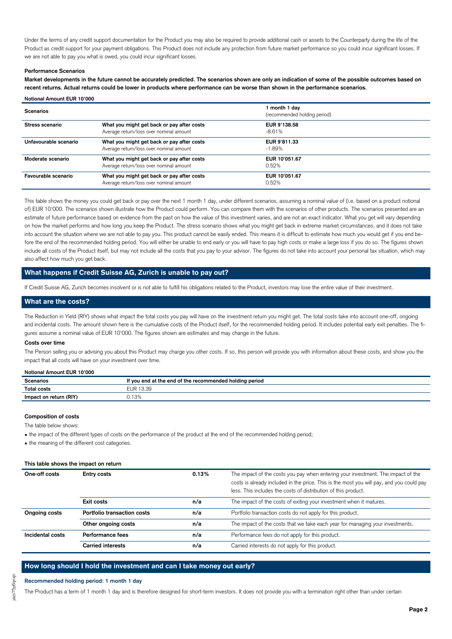Under the terms of any credit support documentation for the Product you may also be required to provide additional cash or assets to the Counterparty during the life of the Product as credit support for your payment obligations. This Product does not include any protection from future market performance so you could incur significant losses. If we are not able to pay you what is owed, you could incur significant losses.

#### **Performance Scenarios**

**Notional Amount EUR 10'000**

**Market developments in the future cannot be accurately predicted. The scenarios shown are only an indication of some of the possible outcomes based on recent returns. Actual returns could be lower in products where performance can be worse than shown in the performance scenarios.**

| <b>Scenarios</b>      |                                                                                       | 1 month 1 day<br>(recommended holding period) |
|-----------------------|---------------------------------------------------------------------------------------|-----------------------------------------------|
| Stress scenario       | What you might get back or pay after costs<br>Average return/loss over nominal amount | EUR 9'138.58<br>$-8.61%$                      |
| Unfavourable scenario | What you might get back or pay after costs<br>Average return/loss over nominal amount | EUR 9'811.33<br>$-1.89%$                      |
| Moderate scenario     | What you might get back or pay after costs<br>Average return/loss over nominal amount | EUR 10'051.67<br>0.52%                        |
| Favourable scenario   | What you might get back or pay after costs<br>Average return/loss over nominal amount | EUR 10'051.67<br>0.52%                        |

This table shows the money you could get back or pay over the next 1 month 1 day, under different scenarios, assuming a nominal value of (i.e. based on a product notional of) EUR 10'000. The scenarios shown illustrate how the Product could perform. You can compare them with the scenarios of other products. The scenarios presented are an estimate of future performance based on evidence from the past on how the value of this investment varies, and are not an exact indicator. What you get will vary depending on how the market performs and how long you keep the Product. The stress scenario shows what you might get back in extreme market circumstances, and it does not take into account the situation where we are not able to pay you. This product cannot be easily ended. This means it is difficult to estimate how much you would get if you end before the end of the recommended holding period. You will either be unable to end early or you will have to pay high costs or make a large loss if you do so. The figures shown include all costs of the Product itself, but may not include all the costs that you pay to your advisor. The figures do not take into account your personal tax situation, which may also affect how much you get back.

## **What happens if Credit Suisse AG, Zurich is unable to pay out?**

If Credit Suisse AG, Zurich becomes insolvent or is not able to fulfill his obligations related to the Product, investors may lose the entire value of their investment.

## **What are the costs?**

The Reduction in Yield (RIY) shows what impact the total costs you pay will have on the investment return you might get. The total costs take into account one-off, ongoing and incidental costs. The amount shown here is the cumulative costs of the Product itself, for the recommended holding period. It includes potential early exit penalties. The figures assume a nominal value of EUR 10'000. The figures shown are estimates and may change in the future.

#### **Costs over time**

The Person selling you or advising you about this Product may charge you other costs. If so, this person will provide you with information about these costs, and show you the impact that all costs will have on your investment over time.

#### **Notional Amount EUR 10'000**

| <b>Scenarios</b>       | If you end at the end of the recommended holding period |  |
|------------------------|---------------------------------------------------------|--|
| <b>Total costs</b>     | UR 13.39ء                                               |  |
| Impact on return (RIY) | 0.13%                                                   |  |

## **Composition of costs**

The table below shows:

• the impact of the different types of costs on the performance of the product at the end of the recommended holding period;

• the meaning of the different cost categories.

#### **This table shows the impact on return**

| One-off costs    | 0.13%<br><b>Entry costs</b> |     | The impact of the costs you pay when entering your investment. The impact of the<br>costs is already included in the price. This is the most you will pay, and you could pay<br>less. This includes the costs of distribution of this product. |
|------------------|-----------------------------|-----|------------------------------------------------------------------------------------------------------------------------------------------------------------------------------------------------------------------------------------------------|
|                  | Exit costs                  | n/a | The impact of the costs of exiting your investment when it matures.                                                                                                                                                                            |
| Ongoing costs    | Portfolio transaction costs | n/a | Portfolio transaction costs do not apply for this product.                                                                                                                                                                                     |
|                  | Other ongoing costs         | n/a | The impact of the costs that we take each year for managing your investments.                                                                                                                                                                  |
| Incidental costs | Performance fees            | n/a | Performance fees do not apply for this product.                                                                                                                                                                                                |
|                  | <b>Carried interests</b>    | n/a | Carried interests do not apply for this product.                                                                                                                                                                                               |

#### **How long should I hold the investment and can I take money out early?**

#### **Recommended holding period: 1 month 1 day**

The Product has a term of 1 month 1 day and is therefore designed for short-term investors. It does not provide you with a termination right other than under certain